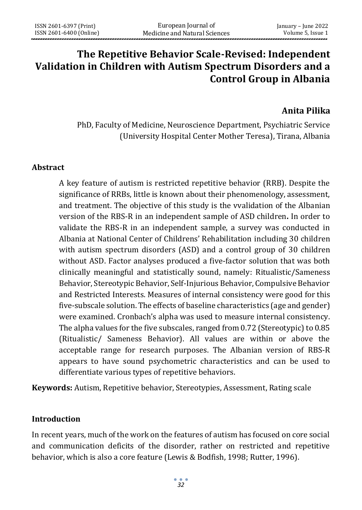# **The Repetitive Behavior Scale-Revised: Independent Validation in Children with Autism Spectrum Disorders and a Control Group in Albania**

### **Anita Pilika**

PhD, Faculty of Medicine, Neuroscience Department, Psychiatric Service (University Hospital Center Mother Teresa), Tirana, Albania

#### **Abstract**

A key feature of autism is restricted repetitive behavior (RRB). Despite the significance of RRBs, little is known about their phenomenology, assessment, and treatment. The objective of this study is the vvalidation of the Albanian version of the RBS-R in an independent sample of ASD children**.** In order to validate the RBS-R in an independent sample, a survey was conducted in Albania at National Center of Childrens' Rehabilitation including 30 children with autism spectrum disorders (ASD) and a control group of 30 children without ASD. Factor analyses produced a five-factor solution that was both clinically meaningful and statistically sound, namely: Ritualistic/Sameness Behavior, Stereotypic Behavior, Self-Injurious Behavior, Compulsive Behavior and Restricted Interests. Measures of internal consistency were good for this five-subscale solution. The effects of baseline characteristics (age and gender) were examined. Cronbach's alpha was used to measure internal consistency. The alpha values for the five subscales, ranged from 0.72 (Stereotypic) to 0.85 (Ritualistic/ Sameness Behavior). All values are within or above the acceptable range for research purposes. The Albanian version of RBS-R appears to have sound psychometric characteristics and can be used to differentiate various types of repetitive behaviors.

**Keywords:** Autism, Repetitive behavior, Stereotypies, Assessment, Rating scale

#### **Introduction**

In recent years, much of the work on the features of autism has focused on core social and communication deficits of the disorder, rather on restricted and repetitive behavior, which is also a core feature (Lewis & Bodfish, 1998; Rutter, 1996).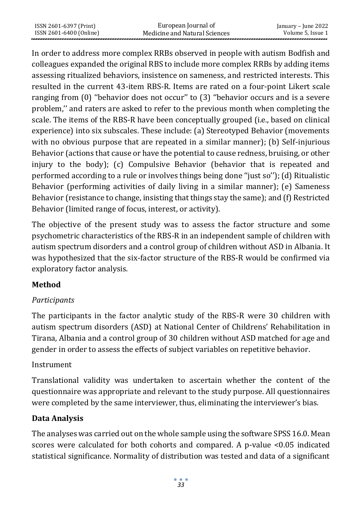| ISSN 2601-6397 (Print)  | European Journal of           | January – June 2022 |
|-------------------------|-------------------------------|---------------------|
| ISSN 2601-6400 (Online) | Medicine and Natural Sciences | Volume 5. Issue 1   |

In order to address more complex RRBs observed in people with autism Bodfish and colleagues expanded the original RBS to include more complex RRBs by adding items assessing ritualized behaviors, insistence on sameness, and restricted interests. This resulted in the current 43-item RBS-R. Items are rated on a four-point Likert scale ranging from (0) ''behavior does not occur'' to (3) ''behavior occurs and is a severe problem,'' and raters are asked to refer to the previous month when completing the scale. The items of the RBS-R have been conceptually grouped (i.e., based on clinical experience) into six subscales. These include: (a) Stereotyped Behavior (movements with no obvious purpose that are repeated in a similar manner); (b) Self-injurious Behavior (actions that cause or have the potential to cause redness, bruising, or other injury to the body); (c) Compulsive Behavior (behavior that is repeated and performed according to a rule or involves things being done ''just so''); (d) Ritualistic Behavior (performing activities of daily living in a similar manner); (e) Sameness Behavior (resistance to change, insisting that things stay the same); and (f) Restricted Behavior (limited range of focus, interest, or activity).

The objective of the present study was to assess the factor structure and some psychometric characteristics of the RBS-R in an independent sample of children with autism spectrum disorders and a control group of children without ASD in Albania. It was hypothesized that the six-factor structure of the RBS-R would be confirmed via exploratory factor analysis.

## **Method**

# *Participants*

The participants in the factor analytic study of the RBS-R were 30 children with autism spectrum disorders (ASD) at National Center of Childrens' Rehabilitation in Tirana, Albania and a control group of 30 children without ASD matched for age and gender in order to assess the effects of subject variables on repetitive behavior.

## Instrument

Translational validity was undertaken to ascertain whether the content of the questionnaire was appropriate and relevant to the study purpose. All questionnaires were completed by the same interviewer, thus, eliminating the interviewer's bias.

## **Data Analysis**

The analyses was carried out on the whole sample using the software SPSS 16.0. Mean scores were calculated for both cohorts and compared. A p-value <0.05 indicated statistical significance. Normality of distribution was tested and data of a significant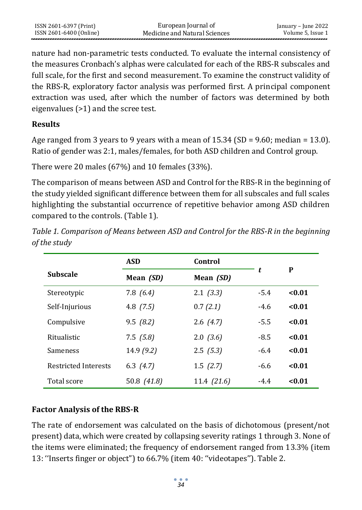nature had non-parametric tests conducted. To evaluate the internal consistency of the measures Cronbach's alphas were calculated for each of the RBS-R subscales and full scale, for the first and second measurement. To examine the construct validity of the RBS-R, exploratory factor analysis was performed first. A principal component extraction was used, after which the number of factors was determined by both eigenvalues (>1) and the scree test.

## **Results**

Age ranged from 3 years to 9 years with a mean of  $15.34$  (SD = 9.60; median = 13.0). Ratio of gender was 2:1, males/females, for both ASD children and Control group.

There were 20 males (67%) and 10 females (33%).

The comparison of means between ASD and Control for the RBS-R in the beginning of the study yielded significant difference between them for all subscales and full scales highlighting the substantial occurrence of repetitive behavior among ASD children compared to the controls. (Table 1).

*Table 1. Comparison of Means between ASD and Control for the RBS-R in the beginning of the study*

|                      | <b>ASD</b>       | Control          |        |        |
|----------------------|------------------|------------------|--------|--------|
| <b>Subscale</b>      | Mean <i>(SD)</i> | Mean <i>(SD)</i> | t      | P      |
| Stereotypic          | 7.8(6.4)         | 2.1(3.3)         | $-5.4$ | < 0.01 |
| Self-Injurious       | 4.8 $(7.5)$      | 0.7(2.1)         | $-4.6$ | < 0.01 |
| Compulsive           | 9.5(8.2)         | 2.6(4.7)         | $-5.5$ | < 0.01 |
| Ritualistic          | 7.5(5.8)         | 2.0(3.6)         | $-8.5$ | < 0.01 |
| <b>Sameness</b>      | 14.9(9.2)        | 2.5(5.3)         | $-6.4$ | < 0.01 |
| Restricted Interests | 6.3 $(4.7)$      | 1.5(2.7)         | $-6.6$ | < 0.01 |
| Total score          | 50.8 (41.8)      | 11.4 (21.6)      | $-4.4$ | < 0.01 |

# **Factor Analysis of the RBS-R**

The rate of endorsement was calculated on the basis of dichotomous (present/not present) data, which were created by collapsing severity ratings 1 through 3. None of the items were eliminated; the frequency of endorsement ranged from 13.3% (item 13: ''Inserts finger or object") to 66.7% (item 40: ''videotapes''). Table 2.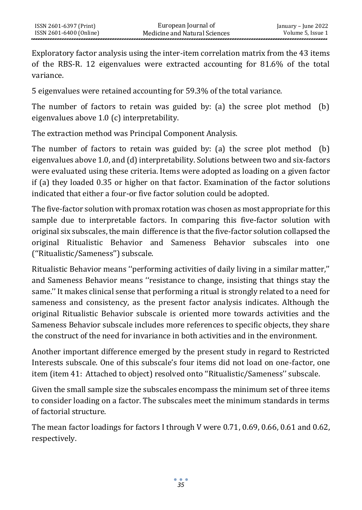Exploratory factor analysis using the inter-item correlation matrix from the 43 items of the RBS-R. 12 eigenvalues were extracted accounting for 81.6% of the total variance.

5 eigenvalues were retained accounting for 59.3% of the total variance.

The number of factors to retain was guided by: (a) the scree plot method (b) eigenvalues above 1.0 (c) interpretability.

The extraction method was Principal Component Analysis.

The number of factors to retain was guided by: (a) the scree plot method (b) eigenvalues above 1.0, and (d) interpretability. Solutions between two and six-factors were evaluated using these criteria. Items were adopted as loading on a given factor if (a) they loaded 0.35 or higher on that factor. Examination of the factor solutions indicated that either a four-or five factor solution could be adopted.

The five-factor solution with promax rotation was chosen as most appropriate for this sample due to interpretable factors. In comparing this five-factor solution with original six subscales, the main difference is that the five-factor solution collapsed the original Ritualistic Behavior and Sameness Behavior subscales into one (''Ritualistic/Sameness'') subscale.

Ritualistic Behavior means ''performing activities of daily living in a similar matter,'' and Sameness Behavior means ''resistance to change, insisting that things stay the same.'' It makes clinical sense that performing a ritual is strongly related to a need for sameness and consistency, as the present factor analysis indicates. Although the original Ritualistic Behavior subscale is oriented more towards activities and the Sameness Behavior subscale includes more references to specific objects, they share the construct of the need for invariance in both activities and in the environment.

Another important difference emerged by the present study in regard to Restricted Interests subscale. One of this subscale's four items did not load on one-factor, one item (item 41: Attached to object) resolved onto ''Ritualistic/Sameness'' subscale.

Given the small sample size the subscales encompass the minimum set of three items to consider loading on a factor. The subscales meet the minimum standards in terms of factorial structure.

The mean factor loadings for factors I through V were 0.71, 0.69, 0.66, 0.61 and 0.62, respectively.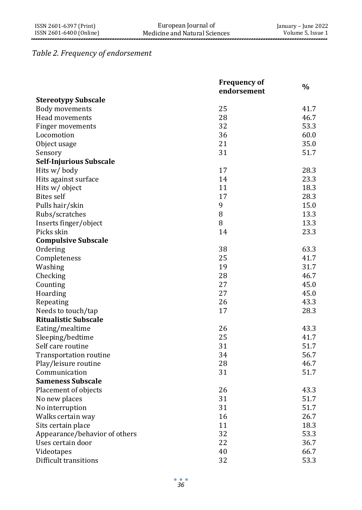## *Table 2. Frequency of endorsement*

|                               | <b>Frequency of</b><br>endorsement | $\%$ |
|-------------------------------|------------------------------------|------|
| <b>Stereotypy Subscale</b>    |                                    |      |
| <b>Body movements</b>         | 25                                 | 41.7 |
| Head movements                | 28                                 | 46.7 |
| Finger movements              | 32                                 | 53.3 |
| Locomotion                    | 36                                 | 60.0 |
| Object usage                  | 21                                 | 35.0 |
| Sensory                       | 31                                 | 51.7 |
| Self-Injurious Subscale       |                                    |      |
| Hits w/body                   | 17                                 | 28.3 |
| Hits against surface          | 14                                 | 23.3 |
| Hits w/ object                | 11                                 | 18.3 |
| <b>Bites</b> self             | 17                                 | 28.3 |
| Pulls hair/skin               | 9                                  | 15.0 |
| Rubs/scratches                | 8                                  | 13.3 |
| Inserts finger/object         | 8                                  | 13.3 |
| Picks skin                    | 14                                 | 23.3 |
| <b>Compulsive Subscale</b>    |                                    |      |
| Ordering                      | 38                                 | 63.3 |
| Completeness                  | 25                                 | 41.7 |
| Washing                       | 19                                 | 31.7 |
| Checking                      | 28                                 | 46.7 |
| Counting                      | 27                                 | 45.0 |
| Hoarding                      | 27                                 | 45.0 |
| Repeating                     | 26                                 | 43.3 |
| Needs to touch/tap            | 17                                 | 28.3 |
| <b>Ritualistic Subscale</b>   |                                    |      |
| Eating/mealtime               | 26                                 | 43.3 |
| Sleeping/bedtime              | 25                                 | 41.7 |
| Self care routine             | 31                                 | 51.7 |
| <b>Transportation routine</b> | 34                                 | 56.7 |
| Play/leisure routine          | 28                                 | 46.7 |
| Communication                 | 31                                 | 51.7 |
| <b>Sameness Subscale</b>      |                                    |      |
| Placement of objects          | 26                                 | 43.3 |
| No new places                 | 31                                 | 51.7 |
| No interruption               | 31                                 | 51.7 |
| Walks certain way             | 16                                 | 26.7 |
| Sits certain place            | 11                                 | 18.3 |
| Appearance/behavior of others | 32                                 | 53.3 |
| Uses certain door             | 22                                 | 36.7 |
| Videotapes                    | 40                                 | 66.7 |
| Difficult transitions         | 32                                 | 53.3 |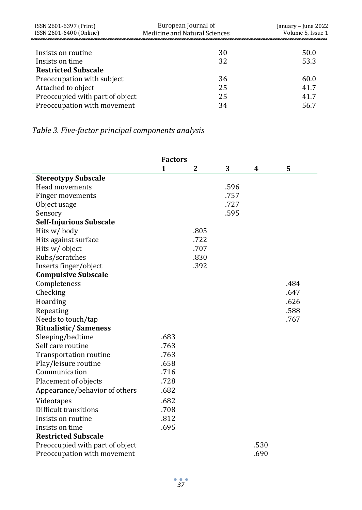| European Journal of<br>ISSN 2601-6397 (Print) |                               | January – June 2022 |  |  |
|-----------------------------------------------|-------------------------------|---------------------|--|--|
| ISSN 2601-6400 (Online)                       | Medicine and Natural Sciences | Volume 5, Issue 1   |  |  |
|                                               |                               |                     |  |  |
| Insists on routine                            | 30                            | 50.0                |  |  |
| Insists on time                               | 32                            | 53.3                |  |  |
| <b>Restricted Subscale</b>                    |                               |                     |  |  |
| Preoccupation with subject                    | 36                            | 60.0                |  |  |
| Attached to object                            | 25                            | 41.7                |  |  |
| Preoccupied with part of object               | 25                            | 41.7                |  |  |
| Preoccupation with movement                   | 34                            | 56.7                |  |  |

# *Table 3. Five-factor principal components analysis*

|                                 | <b>Factors</b> |      |      |      |      |
|---------------------------------|----------------|------|------|------|------|
|                                 | 1              | 2    | 3    | 4    | 5    |
| <b>Stereotypy Subscale</b>      |                |      |      |      |      |
| Head movements                  |                |      | .596 |      |      |
| Finger movements                |                |      | .757 |      |      |
| Object usage                    |                |      | .727 |      |      |
| Sensory                         |                |      | .595 |      |      |
| Self-Injurious Subscale         |                |      |      |      |      |
| Hits w/body                     |                | .805 |      |      |      |
| Hits against surface            |                | .722 |      |      |      |
| Hits w/ object                  |                | .707 |      |      |      |
| Rubs/scratches                  |                | .830 |      |      |      |
| Inserts finger/object           |                | .392 |      |      |      |
| <b>Compulsive Subscale</b>      |                |      |      |      |      |
| Completeness                    |                |      |      |      | .484 |
| Checking                        |                |      |      |      | .647 |
| Hoarding                        |                |      |      |      | .626 |
| Repeating                       |                |      |      |      | .588 |
| Needs to touch/tap              |                |      |      |      | .767 |
| <b>Ritualistic/Sameness</b>     |                |      |      |      |      |
| Sleeping/bedtime                | .683           |      |      |      |      |
| Self care routine               | .763           |      |      |      |      |
| <b>Transportation routine</b>   | .763           |      |      |      |      |
| Play/leisure routine            | .658           |      |      |      |      |
| Communication                   | .716           |      |      |      |      |
| Placement of objects            | .728           |      |      |      |      |
| Appearance/behavior of others   | .682           |      |      |      |      |
| Videotapes                      | .682           |      |      |      |      |
| Difficult transitions           | .708           |      |      |      |      |
| Insists on routine              | .812           |      |      |      |      |
| Insists on time                 | .695           |      |      |      |      |
| <b>Restricted Subscale</b>      |                |      |      |      |      |
| Preoccupied with part of object |                |      |      | .530 |      |
| Preoccupation with movement     |                |      |      | .690 |      |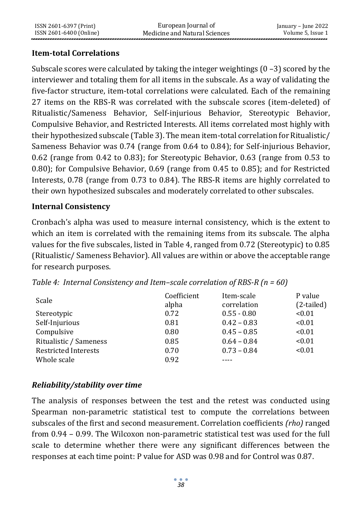## **Item-total Correlations**

Subscale scores were calculated by taking the integer weightings (0 –3) scored by the interviewer and totaling them for all items in the subscale. As a way of validating the five-factor structure, item-total correlations were calculated. Each of the remaining 27 items on the RBS-R was correlated with the subscale scores (item-deleted) of Ritualistic/Sameness Behavior, Self-injurious Behavior, Stereotypic Behavior, Compulsive Behavior, and Restricted Interests. All items correlated most highly with their hypothesized subscale (Table 3). The mean item-total correlation for Ritualistic/ Sameness Behavior was 0.74 (range from 0.64 to 0.84); for Self-injurious Behavior, 0.62 (range from 0.42 to 0.83); for Stereotypic Behavior, 0.63 (range from 0.53 to 0.80); for Compulsive Behavior, 0.69 (range from 0.45 to 0.85); and for Restricted Interests, 0.78 (range from 0.73 to 0.84). The RBS-R items are highly correlated to their own hypothesized subscales and moderately correlated to other subscales.

#### **Internal Consistency**

Cronbach's alpha was used to measure internal consistency, which is the extent to which an item is correlated with the remaining items from its subscale. The alpha values for the five subscales, listed in Table 4, ranged from 0.72 (Stereotypic) to 0.85 (Ritualistic/ Sameness Behavior). All values are within or above the acceptable range for research purposes.

| Scale                       | Coefficient<br>alpha | Item-scale<br>correlation | P value<br>$(2-tailed)$ |
|-----------------------------|----------------------|---------------------------|-------------------------|
| Stereotypic                 | 0.72                 | $0.55 - 0.80$             | < 0.01                  |
| Self-Injurious              | 0.81                 | $0.42 - 0.83$             | < 0.01                  |
| Compulsive                  | 0.80                 | $0.45 - 0.85$             | < 0.01                  |
| Ritualistic / Sameness      | 0.85                 | $0.64 - 0.84$             | < 0.01                  |
| <b>Restricted Interests</b> | 0.70                 | $0.73 - 0.84$             | < 0.01                  |
| Whole scale                 | 0.92                 |                           |                         |

*Table 4: Internal Consistency and Item–scale correlation of RBS-R (n = 60)*

# *Reliability/stability over time*

The analysis of responses between the test and the retest was conducted using Spearman non-parametric statistical test to compute the correlations between subscales of the first and second measurement. Correlation coefficients *(rho)* ranged from 0.94 – 0.99. The Wilcoxon non-parametric statistical test was used for the full scale to determine whether there were any significant differences between the responses at each time point: P value for ASD was 0.98 and for Control was 0.87.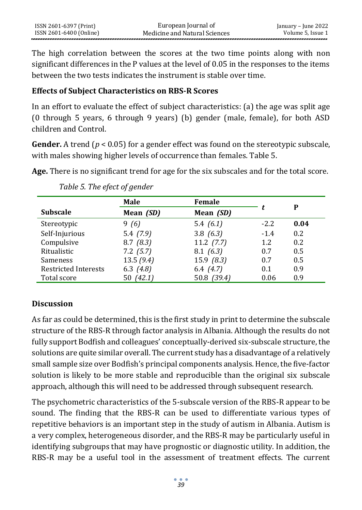The high correlation between the scores at the two time points along with non significant differences in the P values at the level of 0.05 in the responses to the items between the two tests indicates the instrument is stable over time.

#### **Effects of Subject Characteristics on RBS-R Scores**

In an effort to evaluate the effect of subject characteristics: (a) the age was split age (0 through 5 years, 6 through 9 years) (b) gender (male, female), for both ASD children and Control.

**Gender.** A trend (*p* < 0.05) for a gender effect was found on the stereotypic subscale, with males showing higher levels of occurrence than females. Table 5.

**Age.** There is no significant trend for age for the six subscales and for the total score.

|                             | Male          | <b>Female</b>  |        |      |
|-----------------------------|---------------|----------------|--------|------|
| <b>Subscale</b>             | Mean (SD)     | Mean (SD)      |        | P    |
| Stereotypic                 | 9(6)          | 5.4 $(6.1)$    | $-2.2$ | 0.04 |
| Self-Injurious              | 5.4(7.9)      | 3.8(6.3)       | $-1.4$ | 0.2  |
| Compulsive                  | 8.7(8.3)      | $11.2$ $(7.7)$ | 1.2    | 0.2  |
| Ritualistic                 | $7.2$ $(5.7)$ | 8.1(6.3)       | 0.7    | 0.5  |
| Sameness                    | 13.5(9.4)     | 15.9(8.3)      | 0.7    | 0.5  |
| <b>Restricted Interests</b> | 6.3 $(4.8)$   | 6.4 $(4.7)$    | 0.1    | 0.9  |
| Total score                 | 50 (42.1)     | 50.8 (39.4)    | 0.06   | 0.9  |

*Table 5. The efect of gender*

# **Discussion**

As far as could be determined, this is the first study in print to determine the subscale structure of the RBS-R through factor analysis in Albania. Although the results do not fully support Bodfish and colleagues' conceptually-derived six-subscale structure, the solutions are quite similar overall. The current study has a disadvantage of a relatively small sample size over Bodfish's principal components analysis. Hence, the five-factor solution is likely to be more stable and reproducible than the original six subscale approach, although this will need to be addressed through subsequent research.

The psychometric characteristics of the 5-subscale version of the RBS-R appear to be sound. The finding that the RBS-R can be used to differentiate various types of repetitive behaviors is an important step in the study of autism in Albania. Autism is a very complex, heterogeneous disorder, and the RBS-R may be particularly useful in identifying subgroups that may have prognostic or diagnostic utility. In addition, the RBS-R may be a useful tool in the assessment of treatment effects. The current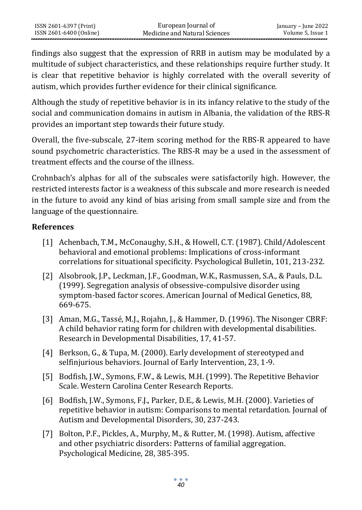findings also suggest that the expression of RRB in autism may be modulated by a multitude of subject characteristics, and these relationships require further study. It is clear that repetitive behavior is highly correlated with the overall severity of autism, which provides further evidence for their clinical significance.

Although the study of repetitive behavior is in its infancy relative to the study of the social and communication domains in autism in Albania, the validation of the RBS-R provides an important step towards their future study.

Overall, the five-subscale, 27-item scoring method for the RBS-R appeared to have sound psychometric characteristics. The RBS-R may be a used in the assessment of treatment effects and the course of the illness.

Crohnbach's alphas for all of the subscales were satisfactorily high. However, the restricted interests factor is a weakness of this subscale and more research is needed in the future to avoid any kind of bias arising from small sample size and from the language of the questionnaire.

#### **References**

- [1] Achenbach, T.M., McConaughy, S.H., & Howell, C.T. (1987). Child/Adolescent behavioral and emotional problems: Implications of cross-informant correlations for situational specificity. Psychological Bulletin, 101, 213-232.
- [2] Alsobrook, J.P., Leckman, J.F., Goodman, W.K., Rasmussen, S.A., & Pauls, D.L. (1999). Segregation analysis of obsessive-compulsive disorder using symptom-based factor scores. American Journal of Medical Genetics, 88, 669-675.
- [3] Aman, M.G., Tassé, M.J., Rojahn, J., & Hammer, D. (1996). The Nisonger CBRF: A child behavior rating form for children with developmental disabilities. Research in Developmental Disabilities, 17, 41-57.
- [4] Berkson, G., & Tupa, M. (2000). Early development of stereotyped and selfinjurious behaviors. Journal of Early Intervention, 23, 1-9.
- [5] Bodfish, J.W., Symons, F.W., & Lewis, M.H. (1999). The Repetitive Behavior Scale. Western Carolina Center Research Reports.
- [6] Bodfish, J.W., Symons, F.J., Parker, D.E., & Lewis, M.H. (2000). Varieties of repetitive behavior in autism: Comparisons to mental retardation. Journal of Autism and Developmental Disorders, 30, 237-243.
- [7] Bolton, P.F., Pickles, A., Murphy, M., & Rutter, M. (1998). Autism, affective and other psychiatric disorders: Patterns of familial aggregation. Psychological Medicine, 28, 385-395.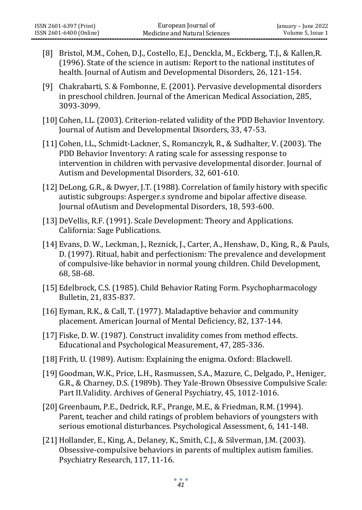- [8] Bristol, M.M., Cohen, D.J., Costello, E.J., Denckla, M., Eckberg, T.J., & Kallen,R. (1996). State of the science in autism: Report to the national institutes of health. Journal of Autism and Developmental Disorders, 26, 121-154.
- [9] Chakrabarti, S. & Fombonne, E. (2001). Pervasive developmental disorders in preschool children. Journal of the American Medical Association, 285, 3093-3099.
- [10] Cohen, I.L. (2003). Criterion-related validity of the PDD Behavior Inventory. Journal of Autism and Developmental Disorders, 33, 47-53.
- [11] Cohen, I.L., Schmidt-Lackner, S., Romanczyk, R., & Sudhalter, V. (2003). The PDD Behavior Inventory: A rating scale for assessing response to intervention in children with pervasive developmental disorder. Journal of Autism and Developmental Disorders, 32, 601-610.
- [12]DeLong, G.R., & Dwyer, J.T. (1988). Correlation of family history with specific autistic subgroups: Asperger.s syndrome and bipolar affective disease. Journal ofAutism and Developmental Disorders, 18, 593-600.
- [13] DeVellis, R.F. (1991). Scale Development: Theory and Applications. California: Sage Publications.
- [14] Evans, D. W., Leckman, J., Reznick, J., Carter, A., Henshaw, D., King, R., & Pauls, D. (1997). Ritual, habit and perfectionism: The prevalence and development of compulsive-like behavior in normal young children. Child Development, 68, 58-68.
- [15] Edelbrock, C.S. (1985). Child Behavior Rating Form. Psychopharmacology Bulletin, 21, 835-837.
- [16] Eyman, R.K., & Call, T. (1977). Maladaptive behavior and community placement. American Journal of Mental Deficiency, 82, 137-144.
- [17] Fiske, D. W. (1987). Construct invalidity comes from method effects. Educational and Psychological Measurement, 47, 285-336.
- [18] Frith, U. (1989). Autism: Explaining the enigma. Oxford: Blackwell.
- [19] Goodman, W.K., Price, L.H., Rasmussen, S.A., Mazure, C., Delgado, P., Heniger, G.R., & Charney, D.S. (1989b). They Yale-Brown Obsessive Compulsive Scale: Part II.Validity. Archives of General Psychiatry, 45, 1012-1016.
- [20] Greenbaum, P.E., Dedrick, R.F., Prange, M.E., & Friedman, R.M. (1994). Parent, teacher and child ratings of problem behaviors of youngsters with serious emotional disturbances. Psychological Assessment, 6, 141-148.
- [21]Hollander, E., King, A., Delaney, K., Smith, C.J., & Silverman, J.M. (2003). Obsessive-compulsive behaviors in parents of multiplex autism families. Psychiatry Research, 117, 11-16.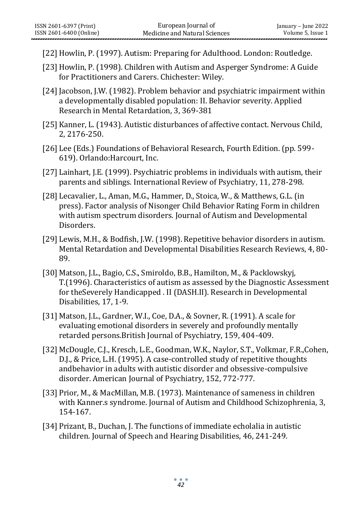- [22]Howlin, P. (1997). Autism: Preparing for Adulthood. London: Routledge.
- [23]Howlin, P. (1998). Children with Autism and Asperger Syndrome: A Guide for Practitioners and Carers. Chichester: Wiley.
- [24] Jacobson, J.W. (1982). Problem behavior and psychiatric impairment within a developmentally disabled population: II. Behavior severity. Applied Research in Mental Retardation, 3, 369-381
- [25]Kanner, L. (1943). Autistic disturbances of affective contact. Nervous Child, 2, 2176-250.
- [26] Lee (Eds.) Foundations of Behavioral Research, Fourth Edition. (pp. 599- 619). Orlando:Harcourt, Inc.
- [27] Lainhart, J.E. (1999). Psychiatric problems in individuals with autism, their parents and siblings. International Review of Psychiatry, 11, 278-298.
- [28] Lecavalier, L., Aman, M.G., Hammer, D., Stoica, W., & Matthews, G.L. (in press). Factor analysis of Nisonger Child Behavior Rating Form in children with autism spectrum disorders. Journal of Autism and Developmental Disorders.
- [29] Lewis, M.H., & Bodfish, J.W. (1998). Repetitive behavior disorders in autism. Mental Retardation and Developmental Disabilities Research Reviews, 4, 80- 89.
- [30] Matson, J.L., Bagio, C.S., Smiroldo, B.B., Hamilton, M., & Packlowskyj, T.(1996). Characteristics of autism as assessed by the Diagnostic Assessment for theSeverely Handicapped . II (DASH.II). Research in Developmental Disabilities, 17, 1-9.
- [31] Matson, J.L., Gardner, W.I., Coe, D.A., & Sovner, R. (1991). A scale for evaluating emotional disorders in severely and profoundly mentally retarded persons.British Journal of Psychiatry, 159, 404-409.
- [32] McDougle, C.J., Kresch, L.E., Goodman, W.K., Naylor, S.T., Volkmar, F.R.,Cohen, D.J., & Price, L.H. (1995). A case-controlled study of repetitive thoughts andbehavior in adults with autistic disorder and obsessive-compulsive disorder. American Journal of Psychiatry, 152, 772-777.
- [33] Prior, M., & MacMillan, M.B. (1973). Maintenance of sameness in children with Kanner.s syndrome. Journal of Autism and Childhood Schizophrenia, 3, 154-167.
- [34] Prizant, B., Duchan, J. The functions of immediate echolalia in autistic children. Journal of Speech and Hearing Disabilities, 46, 241-249.